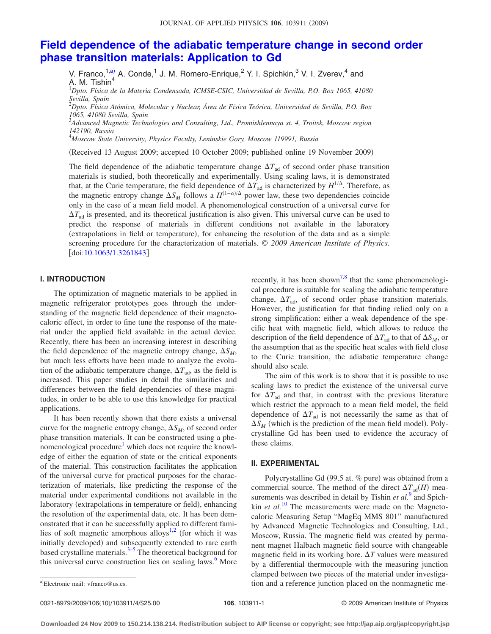# **[Field dependence of the adiabatic temperature change in second order](http://dx.doi.org/10.1063/1.3261843) [phase transition materials: Application to Gd](http://dx.doi.org/10.1063/1.3261843)**

V. Franco,<sup>1,a)</sup> A. Conde,<sup>1</sup> J. M. Romero-Enrique,<sup>2</sup> Y. I. Spichkin,<sup>3</sup> V. I. Zverev,<sup>4</sup> and A. M. Tishin<sup>4</sup> 1 *Dpto. Física de la Materia Condensada, ICMSE-CSIC, Universidad de Sevilla, P.O. Box 1065, 41080*

*Sevilla, Spain*

2 *Dpto. Física Atómica, Molecular y Nuclear, Área de Física Teórica, Universidad de Sevilla, P.O. Box 1065, 41080 Sevilla, Spain*

3 *Advanced Magnetic Technologies and Consulting, Ltd., Promishlennaya st. 4, Troitsk, Moscow region 142190, Russia*

4 *Moscow State University, Physics Faculty, Leninskie Gory, Moscow 119991, Russia*

(Received 13 August 2009; accepted 10 October 2009; published online 19 November 2009)

The field dependence of the adiabatic temperature change  $\Delta T_{\text{ad}}$  of second order phase transition materials is studied, both theoretically and experimentally. Using scaling laws, it is demonstrated that, at the Curie temperature, the field dependence of  $\Delta T_{ad}$  is characterized by  $H^{1/\Delta}$ . Therefore, as the magnetic entropy change  $\Delta S_M$  follows a  $H^{(1-\alpha)/\Delta}$  power law, these two dependencies coincide only in the case of a mean field model. A phenomenological construction of a universal curve for  $\Delta T_{\text{ad}}$  is presented, and its theoretical justification is also given. This universal curve can be used to predict the response of materials in different conditions not available in the laboratory (extrapolations in field or temperature), for enhancing the resolution of the data and as a simple screening procedure for the characterization of materials. © *2009 American Institute of Physics*.  $\lfloor \text{doi:10.1063/1.3261843} \rfloor$  $\lfloor \text{doi:10.1063/1.3261843} \rfloor$  $\lfloor \text{doi:10.1063/1.3261843} \rfloor$ 

### **I. INTRODUCTION**

The optimization of magnetic materials to be applied in magnetic refrigerator prototypes goes through the understanding of the magnetic field dependence of their magnetocaloric effect, in order to fine tune the response of the material under the applied field available in the actual device. Recently, there has been an increasing interest in describing the field dependence of the magnetic entropy change,  $\Delta S_M$ , but much less efforts have been made to analyze the evolution of the adiabatic temperature change,  $\Delta T_{\text{ad}}$ , as the field is increased. This paper studies in detail the similarities and differences between the field dependencies of these magnitudes, in order to be able to use this knowledge for practical applications.

It has been recently shown that there exists a universal curve for the magnetic entropy change,  $\Delta S_M$ , of second order phase transition materials. It can be constructed using a phenomenological procedure<sup>1</sup> which does not require the knowledge of either the equation of state or the critical exponents of the material. This construction facilitates the application of the universal curve for practical purposes for the characterization of materials, like predicting the response of the material under experimental conditions not available in the laboratory (extrapolations in temperature or field), enhancing the resolution of the experimental data, etc. It has been demonstrated that it can be successfully applied to different fami-lies of soft magnetic amorphous alloys<sup>1,[2](#page-3-1)</sup> (for which it was initially developed) and subsequently extended to rare earth based crystalline materials. $3-5$  $3-5$  The theoretical background for this universal curve construction lies on scaling laws.<sup>6</sup> More recently, it has been shown<sup>7[,8](#page-3-6)</sup> that the same phenomenological procedure is suitable for scaling the adiabatic temperature change,  $\Delta T_{\text{ad}}$ , of second order phase transition materials. However, the justification for that finding relied only on a strong simplification: either a weak dependence of the specific heat with magnetic field, which allows to reduce the description of the field dependence of  $\Delta T_{\text{ad}}$  to that of  $\Delta S_M$ , or the assumption that as the specific heat scales with field close to the Curie transition, the adiabatic temperature change should also scale.

The aim of this work is to show that it is possible to use scaling laws to predict the existence of the universal curve for  $\Delta T_{\text{ad}}$  and that, in contrast with the previous literature which restrict the approach to a mean field model, the field dependence of  $\Delta T_{ad}$  is not necessarily the same as that of  $\Delta S_M$  (which is the prediction of the mean field model). Polycrystalline Gd has been used to evidence the accuracy of these claims.

## **II. EXPERIMENTAL**

Polycrystalline Gd (99.5 at. % pure) was obtained from a commercial source. The method of the direct  $\Delta T_{\text{ad}}(H)$  measurements was described in detail by Tishin *et al.*<sup>[9](#page-3-7)</sup> and Spichkin *et al.*<sup>[10](#page-3-8)</sup> The measurements were made on the Magnetocaloric Measuring Setup "MagEq MMS 801" manufactured by Advanced Magnetic Technologies and Consulting, Ltd., Moscow, Russia. The magnetic field was created by permanent magnet Halbach magnetic field source with changeable magnetic field in its working bore.  $\Delta T$  values were measured by a differential thermocouple with the measuring junction clamped between two pieces of the material under investigation and a reference junction placed on the nonmagnetic me-

0021-8979/2009/106(10)/103911/4/\$25.00

Electronic mail: vfranco@us.es.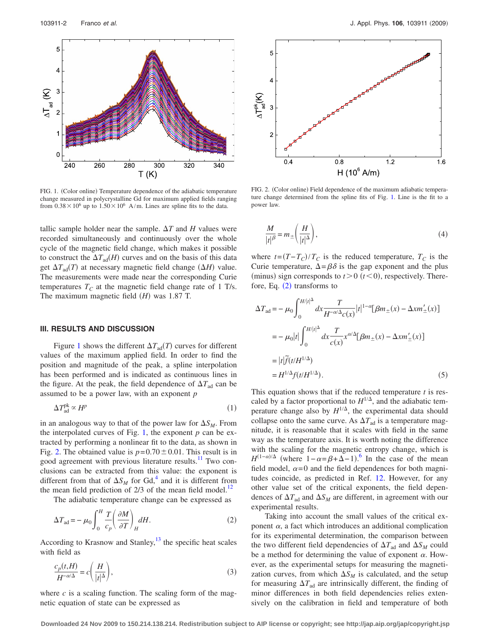<span id="page-1-0"></span>

FIG. 1. (Color online) Temperature dependence of the adiabatic temperature change measured in polycrystalline Gd for maximum applied fields ranging from  $0.38 \times 10^6$  up to  $1.50 \times 10^6$  A/m. Lines are spline fits to the data.

tallic sample holder near the sample.  $\Delta T$  and *H* values were recorded simultaneously and continuously over the whole cycle of the magnetic field change, which makes it possible to construct the  $\Delta T_{\text{ad}}(H)$  curves and on the basis of this data get  $\Delta T_{\text{ad}}(T)$  at necessary magnetic field change  $(\Delta H)$  value. The measurements were made near the corresponding Curie temperatures  $T_c$  at the magnetic field change rate of 1 T/s. The maximum magnetic field  $(H)$  was 1.87 T.

#### **III. RESULTS AND DISCUSSION**

Figure [1](#page-1-0) shows the different  $\Delta T_{\text{ad}}(T)$  curves for different values of the maximum applied field. In order to find the position and magnitude of the peak, a spline interpolation has been performed and is indicated as continuous lines in the figure. At the peak, the field dependence of  $\Delta T_{ad}$  can be assumed to be a power law, with an exponent *p*

$$
\Delta T_{\rm ad}^{\rm pk} \propto H^p \tag{1}
$$

in an analogous way to that of the power law for  $\Delta S_M$ . From the interpolated curves of Fig. [1,](#page-1-0) the exponent *p* can be extracted by performing a nonlinear fit to the data, as shown in Fig. [2.](#page-1-1) The obtained value is  $p=0.70\pm0.01$ . This result is in good agreement with previous literature results.<sup>11</sup> Two conclusions can be extracted from this value: the exponent is different from that of  $\Delta S_M$  for Gd,<sup>4</sup> and it is different from the mean field prediction of  $2/3$  of the mean field model.<sup>12</sup>

The adiabatic temperature change can be expressed as

<span id="page-1-2"></span>
$$
\Delta T_{\text{ad}} = -\mu_0 \int_0^H \frac{T}{c_p} \left(\frac{\partial M}{\partial T}\right)_H dH.
$$
 (2)

According to Krasnow and Stanley, $^{13}$  the specific heat scales with field as

$$
\frac{c_p(t,H)}{H^{-\alpha/\Delta}} = c\left(\frac{H}{|t|^{\Delta}}\right),\tag{3}
$$

where  $c$  is a scaling function. The scaling form of the magnetic equation of state can be expressed as

<span id="page-1-1"></span>

FIG. 2. (Color online) Field dependence of the maximum adiabatic temperature change determined from the spline fits of Fig. [1.](#page-1-0) Line is the fit to a power law.

$$
\frac{M}{|t|^{\beta}} = m_{\pm} \left( \frac{H}{|t|^{\Delta}} \right),\tag{4}
$$

where  $t = (T - T_C)/T_C$  is the reduced temperature,  $T_C$  is the Curie temperature,  $\Delta = \beta \delta$  is the gap exponent and the plus (minus) sign corresponds to  $t > 0$  ( $t < 0$ ), respectively. Therefore, Eq.  $(2)$  $(2)$  $(2)$  transforms to

<span id="page-1-3"></span>
$$
\Delta T_{\text{ad}} = -\mu_0 \int_0^{H/|t|^{\Delta}} dx \frac{T}{H^{-\alpha/\Delta} c(x)} |t|^{1-\alpha} [\beta m_{\pm}(x) - \Delta x m'_{\pm}(x)]
$$
  

$$
= -\mu_0 |t| \int_0^{H/|t|^{\Delta}} dx \frac{T}{c(x)} x^{\alpha/\Delta} [\beta m_{\pm}(x) - \Delta x m'_{\pm}(x)]
$$
  

$$
= |t| \widetilde{f}(t/H^{1/\Delta})
$$
  

$$
= H^{1/\Delta} f(t/H^{1/\Delta}).
$$
 (5)

This equation shows that if the reduced temperature *t* is rescaled by a factor proportional to  $H^{1/\Delta}$ , and the adiabatic temperature change also by  $H^{1/\Delta}$ , the experimental data should collapse onto the same curve. As  $\Delta T_{\text{ad}}$  is a temperature magnitude, it is reasonable that it scales with field in the same way as the temperature axis. It is worth noting the difference with the scaling for the magnetic entropy change, which is  $H^{(1-\alpha)/\Delta}$  (where  $1-\alpha = \beta + \Delta - 1$ ).<sup>[6](#page-3-4)</sup> In the case of the mean field model,  $\alpha = 0$  and the field dependences for both magnitudes coincide, as predicted in Ref. [12.](#page-3-11) However, for any other value set of the critical exponents, the field dependences of  $\Delta T_{ad}$  and  $\Delta S_M$  are different, in agreement with our experimental results.

Taking into account the small values of the critical exponent  $\alpha$ , a fact which introduces an additional complication for its experimental determination, the comparison between the two different field dependencies of  $\Delta T_{\text{ad}}$  and  $\Delta S_M$  could be a method for determining the value of exponent  $\alpha$ . However, as the experimental setups for measuring the magnetization curves, from which  $\Delta S_M$  is calculated, and the setup for measuring  $\Delta T_{\text{ad}}$  are intrinsically different, the finding of minor differences in both field dependencies relies extensively on the calibration in field and temperature of both

**Downloaded 24 Nov 2009 to 150.214.138.214. Redistribution subject to AIP license or copyright; see http://jap.aip.org/jap/copyright.jsp**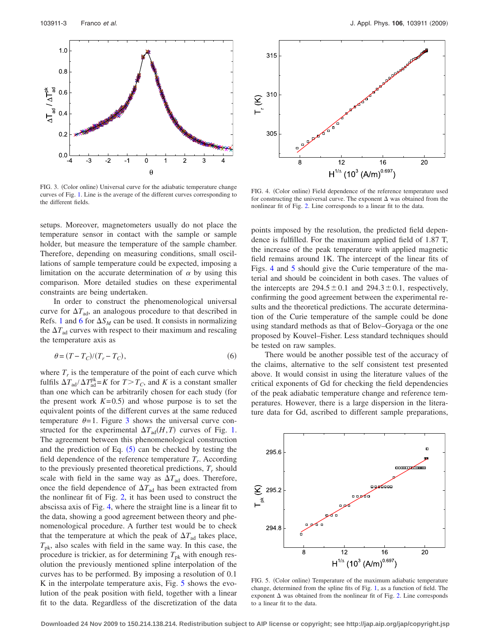<span id="page-2-0"></span>

FIG. 3. (Color online) Universal curve for the adiabatic temperature change curves of Fig. [1.](#page-1-0) Line is the average of the different curves corresponding to the different fields.

setups. Moreover, magnetometers usually do not place the temperature sensor in contact with the sample or sample holder, but measure the temperature of the sample chamber. Therefore, depending on measuring conditions, small oscillations of sample temperature could be expected, imposing a limitation on the accurate determination of  $\alpha$  by using this comparison. More detailed studies on these experimental constraints are being undertaken.

In order to construct the phenomenological universal curve for  $\Delta T_{\text{ad}}$ , an analogous procedure to that described in Refs. [1](#page-3-0) and [6](#page-3-4) for  $\Delta S_M$  can be used. It consists in normalizing the  $\Delta T_{\text{ad}}$  curves with respect to their maximum and rescaling the temperature axis as

$$
\theta = (T - T_C)/(T_r - T_C),\tag{6}
$$

where  $T_r$  is the temperature of the point of each curve which fulfils  $\Delta T_{\text{ad}} / \Delta T_{\text{ad}}^{\text{pk}} = K$  for  $T > T_C$ , and *K* is a constant smaller than one which can be arbitrarily chosen for each study (for the present work  $K=0.5$ ) and whose purpose is to set the equivalent points of the different curves at the same reduced temperature  $\theta = 1$ . Figure [3](#page-2-0) shows the universal curve constructed for the experimental  $\Delta T_{\text{ad}}(H, T)$  curves of Fig. [1.](#page-1-0) The agreement between this phenomenological construction and the prediction of Eq.  $(5)$  $(5)$  $(5)$  can be checked by testing the field dependence of the reference temperature  $T_r$ . According to the previously presented theoretical predictions,  $T_r$  should scale with field in the same way as  $\Delta T_{\text{ad}}$  does. Therefore, once the field dependence of  $\Delta T_{\text{ad}}$  has been extracted from the nonlinear fit of Fig. [2,](#page-1-1) it has been used to construct the abscissa axis of Fig. [4,](#page-2-1) where the straight line is a linear fit to the data, showing a good agreement between theory and phenomenological procedure. A further test would be to check that the temperature at which the peak of  $\Delta T_{ad}$  takes place,  $T_{\rm pk}$ , also scales with field in the same way. In this case, the procedure is trickier, as for determining  $T_{\rm pk}$  with enough resolution the previously mentioned spline interpolation of the curves has to be performed. By imposing a resolution of 0.1 K in the interpolate temperature axis, Fig. [5](#page-2-2) shows the evolution of the peak position with field, together with a linear fit to the data. Regardless of the discretization of the data

<span id="page-2-1"></span>

FIG. 4. (Color online) Field dependence of the reference temperature used for constructing the universal curve. The exponent  $\Delta$  was obtained from the nonlinear fit of Fig. [2.](#page-1-1) Line corresponds to a linear fit to the data.

points imposed by the resolution, the predicted field dependence is fulfilled. For the maximum applied field of 1.87 T, the increase of the peak temperature with applied magnetic field remains around 1K. The intercept of the linear fits of Figs. [4](#page-2-1) and [5](#page-2-2) should give the Curie temperature of the material and should be coincident in both cases. The values of the intercepts are  $294.5 \pm 0.1$  and  $294.3 \pm 0.1$ , respectively, confirming the good agreement between the experimental results and the theoretical predictions. The accurate determination of the Curie temperature of the sample could be done using standard methods as that of Belov–Goryaga or the one proposed by Kouvel–Fisher. Less standard techniques should be tested on raw samples.

There would be another possible test of the accuracy of the claims, alternative to the self consistent test presented above. It would consist in using the literature values of the critical exponents of Gd for checking the field dependencies of the peak adiabatic temperature change and reference temperatures. However, there is a large dispersion in the literature data for Gd, ascribed to different sample preparations,

<span id="page-2-2"></span>

FIG. 5. (Color online) Temperature of the maximum adiabatic temperature change, determined from the spline fits of Fig. [1,](#page-1-0) as a function of field. The exponent  $\Delta$  was obtained from the nonlinear fit of Fig. [2.](#page-1-1) Line corresponds to a linear fit to the data.